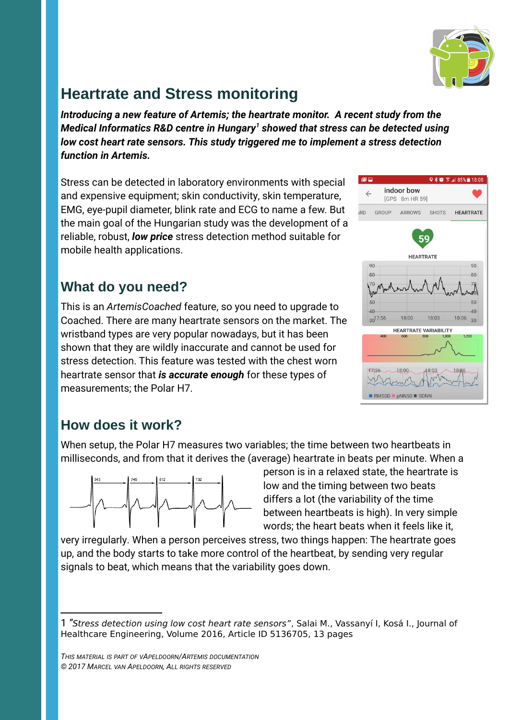

## **Heartrate and Stress monitoring**

*Introducing a new feature of Artemis; the heartrate monitor. A recent study from the Medical Informatics R&D centre in Hungary[1](#page-0-0) showed that stress can be detected using low cost heart rate sensors. This study triggered me to implement a stress detection function in Artemis.*

Stress can be detected in laboratory environments with special and expensive equipment; skin conductivity, skin temperature, EMG, eye-pupil diameter, blink rate and ECG to name a few. But the main goal of the Hungarian study was the development of a reliable, robust, *low price* stress detection method suitable for mobile health applications.

## **What do you need?**

This is an *ArtemisCoached* feature, so you need to upgrade to Coached. There are many heartrate sensors on the market. The wristband types are very popular nowadays, but it has been shown that they are wildly inaccurate and cannot be used for stress detection. This feature was tested with the chest worn heartrate sensor that *is accurate enough* for these types of measurements; the Polar H7.



## **How does it work?**

When setup, the Polar H7 measures two variables; the time between two heartbeats in milliseconds, and from that it derives the (average) heartrate in beats per minute. When a



person is in a relaxed state, the heartrate is low and the timing between two beats differs a lot (the variability of the time between heartbeats is high). In very simple words; the heart beats when it feels like it,

very irregularly. When a person perceives stress, two things happen: The heartrate goes up, and the body starts to take more control of the heartbeat, by sending very regular signals to beat, which means that the variability goes down.

*THIS MATERIAL IS PART OF VAPELDOORN/ARTEMIS DOCUMENTATION © 2017 MARCEL VAN APELDOORN, ALL RIGHTS RESERVED*

<span id="page-0-0"></span><sup>1</sup> *"*Stress detection using low cost heart rate sensors", Salai M., Vassanyí I, Kosá I., Journal of Healthcare Engineering, Volume 2016, Article ID 5136705, 13 pages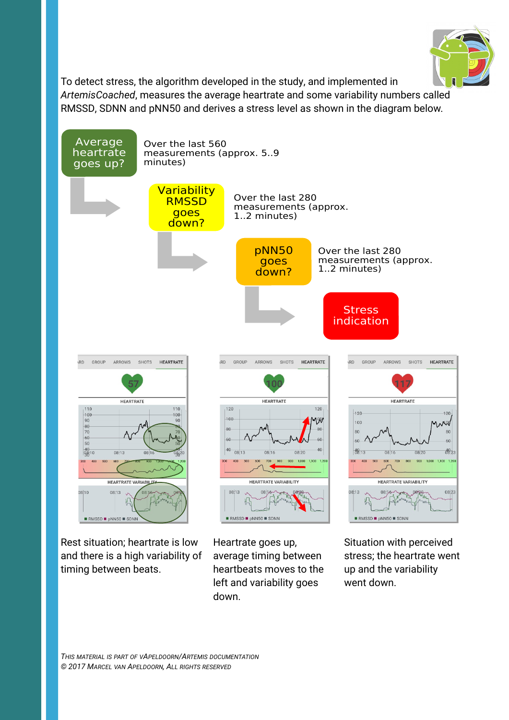

To detect stress, the algorithm developed in the study, and implemented in *ArtemisCoached*, measures the average heartrate and some variability numbers called RMSSD, SDNN and pNN50 and derives a stress level as shown in the diagram below.



Rest situation; heartrate is low and there is a high variability of timing between beats.

Heartrate goes up, average timing between heartbeats moves to the left and variability goes down.

Situation with perceived stress; the heartrate went up and the variability went down.